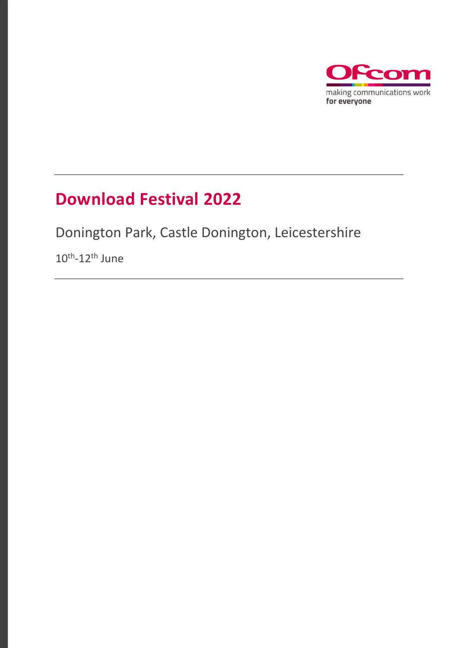

### **Download Festival 2022**

Donington Park, Castle Donington, Leicestershire

 $10^{\text{th}}$ -12<sup>th</sup> June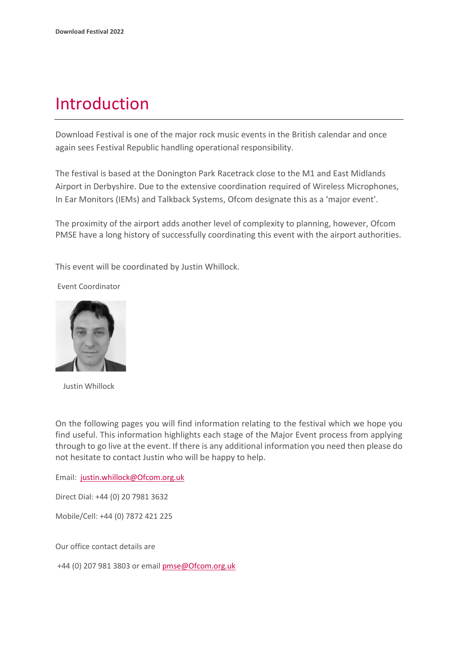### Introduction

Download Festival is one of the major rock music events in the British calendar and once again sees Festival Republic handling operational responsibility.

The festival is based at the Donington Park Racetrack close to the M1 and East Midlands Airport in Derbyshire. Due to the extensive coordination required of Wireless Microphones, In Ear Monitors (IEMs) and Talkback Systems, Ofcom designate this as a 'major event'.

The proximity of the airport adds another level of complexity to planning, however, Ofcom PMSE have a long history of successfully coordinating this event with the airport authorities.

This event will be coordinated by Justin Whillock.

Event Coordinator



Justin Whillock

On the following pages you will find information relating to the festival which we hope you find useful. This information highlights each stage of the Major Event process from applying through to go live at the event. If there is any additional information you need then please do not hesitate to contact Justin who will be happy to help.

Email: [justin.whillock@Ofcom.org.uk](mailto:justin.whillock@Ofcom.org.uk)

Direct Dial: +44 (0) 20 7981 3632

Mobile/Cell: +44 (0) 7872 421 225

Our office contact details are

+44 (0) 207 981 3803 or emai[l pmse@Ofcom.org.uk](mailto:pmse@arqiva.com)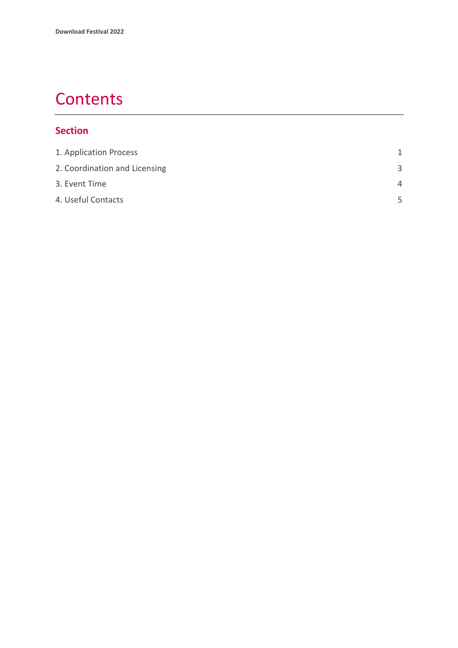## **Contents**

#### **Section**

| 1. Application Process        | 1        |
|-------------------------------|----------|
| 2. Coordination and Licensing | 3        |
| 3. Event Time                 | $\Delta$ |
| 4. Useful Contacts            | 5        |
|                               |          |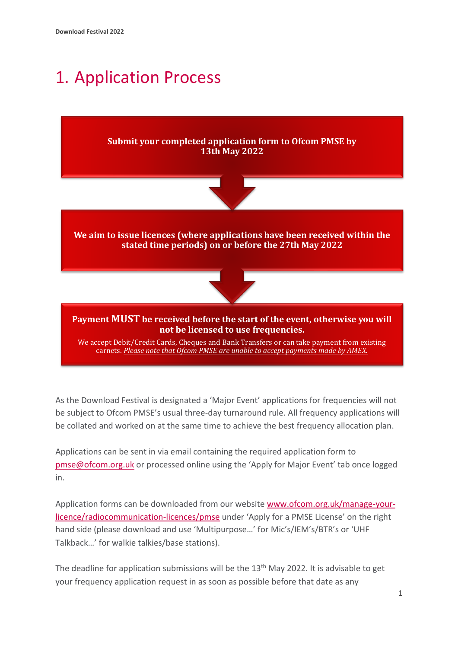## <span id="page-3-0"></span>1. Application Process



**We aim to issue licences (where applications have been received within the stated time periods) on or before the 27th May 2022**



#### **Payment MUST be received before the start of the event, otherwise you will not be licensed to use frequencies.**

We accept Debit/Credit Cards, Cheques and Bank Transfers or can take payment from existing carnets. *Please note that Ofcom PMSE are unable to accept payments made by AMEX.*

As the Download Festival is designated a 'Major Event' applications for frequencies will not be subject to Ofcom PMSE's usual three-day turnaround rule. All frequency applications will be collated and worked on at the same time to achieve the best frequency allocation plan.

Applications can be sent in via email containing the required application form to [pmse@ofcom.org.uk](mailto:pmse@ofcom.org.uk) or processed online using the 'Apply for Major Event' tab once logged in.

Application forms can be downloaded from our website [www.ofcom.org.uk/manage-your](http://www.ofcom.org.uk/manage-your-licence/radiocommunication-licences/pmse)[licence/radiocommunication-licences/pmse](http://www.ofcom.org.uk/manage-your-licence/radiocommunication-licences/pmse) under 'Apply for a PMSE License' on the right hand side (please download and use 'Multipurpose…' for Mic's/IEM's/BTR's or 'UHF Talkback…' for walkie talkies/base stations).

The deadline for application submissions will be the 13<sup>th</sup> May 2022. It is advisable to get your frequency application request in as soon as possible before that date as any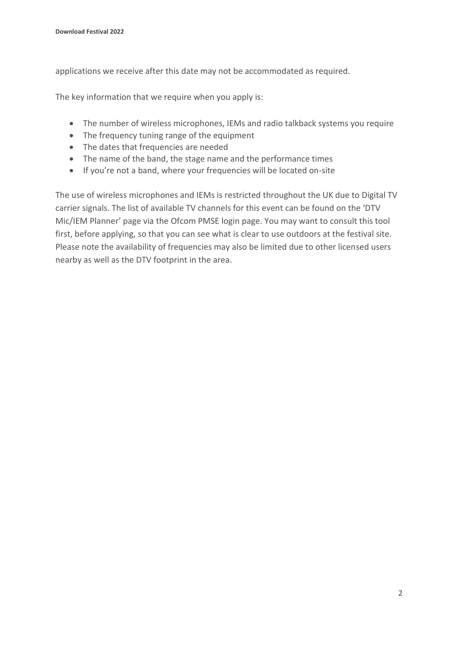applications we receive after this date may not be accommodated as required.

The key information that we require when you apply is:

- The number of wireless microphones, IEMs and radio talkback systems you require
- The frequency tuning range of the equipment
- The dates that frequencies are needed
- The name of the band, the stage name and the performance times
- If you're not a band, where your frequencies will be located on-site

The use of wireless microphones and IEMs is restricted throughout the UK due to Digital TV carrier signals. The list of available TV channels for this event can be found on the 'DTV Mic/IEM Planner' page via the Ofcom PMSE login page. You may want to consult this tool first, before applying, so that you can see what is clear to use outdoors at the festival site. Please note the availability of frequencies may also be limited due to other licensed users nearby as well as the DTV footprint in the area.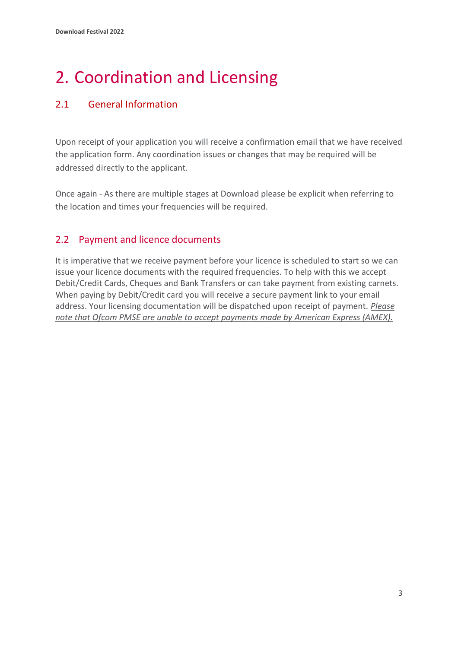# <span id="page-5-0"></span>2. Coordination and Licensing

#### 2.1 General Information

Upon receipt of your application you will receive a confirmation email that we have received the application form. Any coordination issues or changes that may be required will be addressed directly to the applicant.

Once again - As there are multiple stages at Download please be explicit when referring to the location and times your frequencies will be required.

### 2.2 Payment and licence documents

It is imperative that we receive payment before your licence is scheduled to start so we can issue your licence documents with the required frequencies. To help with this we accept Debit/Credit Cards, Cheques and Bank Transfers or can take payment from existing carnets. When paying by Debit/Credit card you will receive a secure payment link to your email address. Your licensing documentation will be dispatched upon receipt of payment. *Please note that Ofcom PMSE are unable to accept payments made by American Express (AMEX).*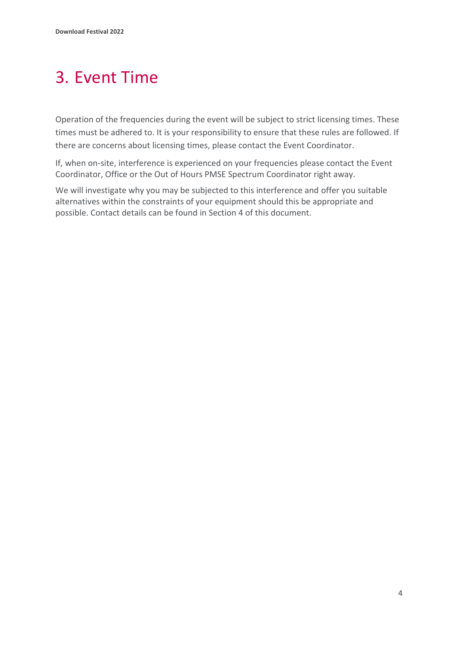# <span id="page-6-0"></span>3. Event Time

Operation of the frequencies during the event will be subject to strict licensing times. These times must be adhered to. It is your responsibility to ensure that these rules are followed. If there are concerns about licensing times, please contact the Event Coordinator.

If, when on-site, interference is experienced on your frequencies please contact the Event Coordinator, Office or the Out of Hours PMSE Spectrum Coordinator right away.

We will investigate why you may be subjected to this interference and offer you suitable alternatives within the constraints of your equipment should this be appropriate and possible. Contact details can be found in Section 4 of this document.